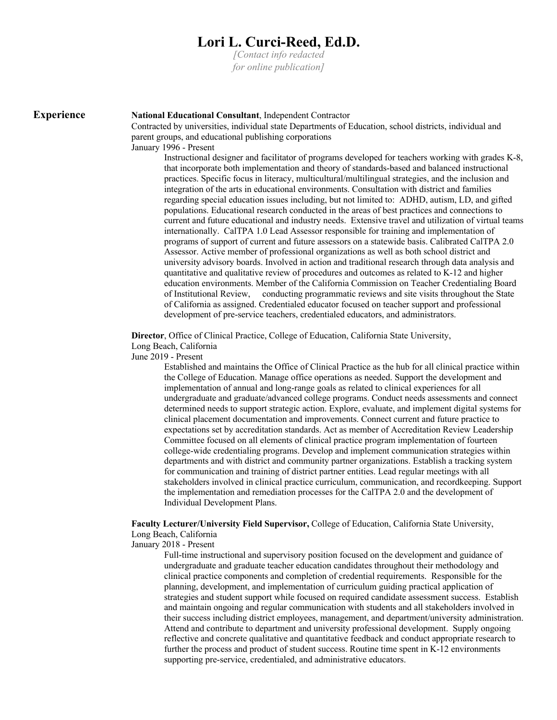# **Lori L. Curci-Reed, Ed.D.**

*[Contact info redacted for online publication]*

# **Experience National Educational Consultant**, Independent Contractor

Contracted by universities, individual state Departments of Education, school districts, individual and parent groups, and educational publishing corporations January 1996 - Present

Instructional designer and facilitator of programs developed for teachers working with grades K-8, that incorporate both implementation and theory of standards-based and balanced instructional practices. Specific focus in literacy, multicultural/multilingual strategies, and the inclusion and integration of the arts in educational environments. Consultation with district and families regarding special education issues including, but not limited to: ADHD, autism, LD, and gifted populations. Educational research conducted in the areas of best practices and connections to current and future educational and industry needs. Extensive travel and utilization of virtual teams internationally. CalTPA 1.0 Lead Assessor responsible for training and implementation of programs of support of current and future assessors on a statewide basis. Calibrated CalTPA 2.0 Assessor. Active member of professional organizations as well as both school district and university advisory boards. Involved in action and traditional research through data analysis and quantitative and qualitative review of procedures and outcomes as related to K-12 and higher education environments. Member of the California Commission on Teacher Credentialing Board of Institutional Review, conducting programmatic reviews and site visits throughout the State of California as assigned. Credentialed educator focused on teacher support and professional development of pre-service teachers, credentialed educators, and administrators.

**Director**, Office of Clinical Practice, College of Education, California State University, Long Beach, California

June 2019 - Present

Established and maintains the Office of Clinical Practice as the hub for all clinical practice within the College of Education. Manage office operations as needed. Support the development and implementation of annual and long-range goals as related to clinical experiences for all undergraduate and graduate/advanced college programs. Conduct needs assessments and connect determined needs to support strategic action. Explore, evaluate, and implement digital systems for clinical placement documentation and improvements. Connect current and future practice to expectations set by accreditation standards. Act as member of Accreditation Review Leadership Committee focused on all elements of clinical practice program implementation of fourteen college-wide credentialing programs. Develop and implement communication strategies within departments and with district and community partner organizations. Establish a tracking system for communication and training of district partner entities. Lead regular meetings with all stakeholders involved in clinical practice curriculum, communication, and recordkeeping. Support the implementation and remediation processes for the CalTPA 2.0 and the development of Individual Development Plans.

### **Faculty Lecturer/University Field Supervisor,** College of Education, California State University, Long Beach, California

January 2018 - Present

Full-time instructional and supervisory position focused on the development and guidance of undergraduate and graduate teacher education candidates throughout their methodology and clinical practice components and completion of credential requirements. Responsible for the planning, development, and implementation of curriculum guiding practical application of strategies and student support while focused on required candidate assessment success. Establish and maintain ongoing and regular communication with students and all stakeholders involved in their success including district employees, management, and department/university administration. Attend and contribute to department and university professional development. Supply ongoing reflective and concrete qualitative and quantitative feedback and conduct appropriate research to further the process and product of student success. Routine time spent in K-12 environments supporting pre-service, credentialed, and administrative educators.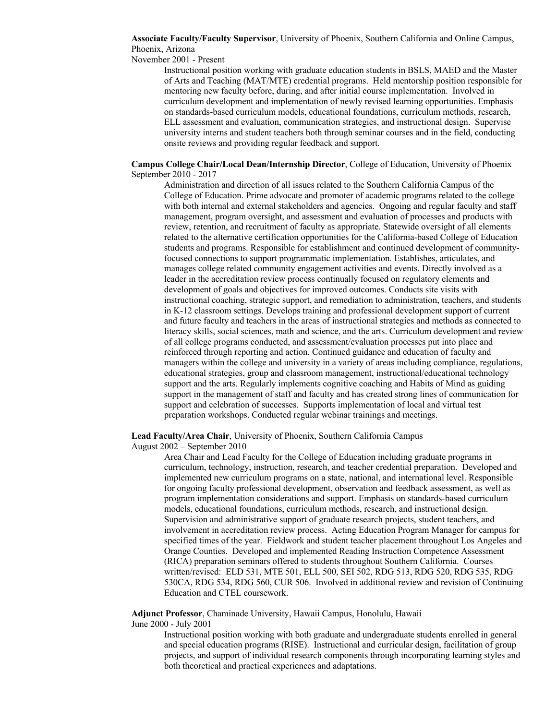**Associate Faculty/Faculty Supervisor**, University of Phoenix, Southern California and Online Campus, Phoenix, Arizona

November 2001 - Present

Instructional position working with graduate education students in BSLS, MAED and the Master of Arts and Teaching (MAT/MTE) credential programs. Held mentorship position responsible for mentoring new faculty before, during, and after initial course implementation. Involved in curriculum development and implementation of newly revised learning opportunities. Emphasis on standards-based curriculum models, educational foundations, curriculum methods, research, ELL assessment and evaluation, communication strategies, and instructional design. Supervise university interns and student teachers both through seminar courses and in the field, conducting onsite reviews and providing regular feedback and support.

#### **Campus College Chair/Local Dean/Internship Director**, College of Education, University of Phoenix September 2010 - 2017

Administration and direction of all issues related to the Southern California Campus of the College of Education. Prime advocate and promoter of academic programs related to the college with both internal and external stakeholders and agencies. Ongoing and regular faculty and staff management, program oversight, and assessment and evaluation of processes and products with review, retention, and recruitment of faculty as appropriate. Statewide oversight of all elements related to the alternative certification opportunities for the California-based College of Education students and programs. Responsible for establishment and continued development of communityfocused connections to support programmatic implementation. Establishes, articulates, and manages college related community engagement activities and events. Directly involved as a leader in the accreditation review process continually focused on regulatory elements and development of goals and objectives for improved outcomes. Conducts site visits with instructional coaching, strategic support, and remediation to administration, teachers, and students in K-12 classroom settings. Develops training and professional development support of current and future faculty and teachers in the areas of instructional strategies and methods as connected to literacy skills, social sciences, math and science, and the arts. Curriculum development and review of all college programs conducted, and assessment/evaluation processes put into place and reinforced through reporting and action. Continued guidance and education of faculty and managers within the college and university in a variety of areas including compliance, regulations, educational strategies, group and classroom management, instructional/educational technology support and the arts. Regularly implements cognitive coaching and Habits of Mind as guiding support in the management of staff and faculty and has created strong lines of communication for support and celebration of successes. Supports implementation of local and virtual test preparation workshops. Conducted regular webinar trainings and meetings.

**Lead Faculty/Area Chair**, University of Phoenix, Southern California Campus

August 2002 – September 2010

Area Chair and Lead Faculty for the College of Education including graduate programs in curriculum, technology, instruction, research, and teacher credential preparation. Developed and implemented new curriculum programs on a state, national, and international level. Responsible for ongoing faculty professional development, observation and feedback assessment, as well as program implementation considerations and support. Emphasis on standards-based curriculum models, educational foundations, curriculum methods, research, and instructional design. Supervision and administrative support of graduate research projects, student teachers, and involvement in accreditation review process. Acting Education Program Manager for campus for specified times of the year. Fieldwork and student teacher placement throughout Los Angeles and Orange Counties. Developed and implemented Reading Instruction Competence Assessment (RICA) preparation seminars offered to students throughout Southern California. Courses written/revised: ELD 531, MTE 501, ELL 500, SEI 502, RDG 513, RDG 520, RDG 535, RDG 530CA, RDG 534, RDG 560, CUR 506. Involved in additional review and revision of Continuing Education and CTEL coursework.

**Adjunct Professor**, Chaminade University, Hawaii Campus, Honolulu, Hawaii

June 2000 - July 2001

Instructional position working with both graduate and undergraduate students enrolled in general and special education programs (RISE). Instructional and curricular design, facilitation of group projects, and support of individual research components through incorporating learning styles and both theoretical and practical experiences and adaptations.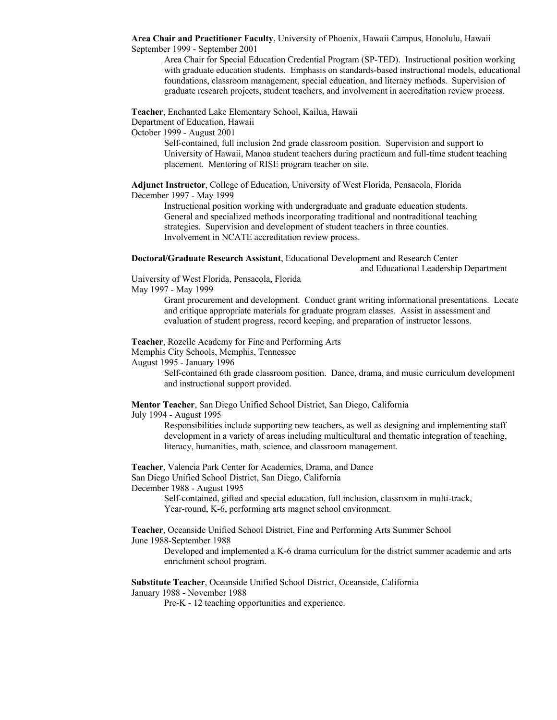**Area Chair and Practitioner Faculty**, University of Phoenix, Hawaii Campus, Honolulu, Hawaii September 1999 - September 2001

Area Chair for Special Education Credential Program (SP-TED). Instructional position working with graduate education students. Emphasis on standards-based instructional models, educational foundations, classroom management, special education, and literacy methods. Supervision of graduate research projects, student teachers, and involvement in accreditation review process.

**Teacher**, Enchanted Lake Elementary School, Kailua, Hawaii

Department of Education, Hawaii

October 1999 - August 2001

Self-contained, full inclusion 2nd grade classroom position. Supervision and support to University of Hawaii, Manoa student teachers during practicum and full-time student teaching placement. Mentoring of RISE program teacher on site.

**Adjunct Instructor**, College of Education, University of West Florida, Pensacola, Florida December 1997 - May 1999

Instructional position working with undergraduate and graduate education students. General and specialized methods incorporating traditional and nontraditional teaching strategies. Supervision and development of student teachers in three counties. Involvement in NCATE accreditation review process.

**Doctoral/Graduate Research Assistant**, Educational Development and Research Center

and Educational Leadership Department

University of West Florida, Pensacola, Florida May 1997 - May 1999

> Grant procurement and development. Conduct grant writing informational presentations. Locate and critique appropriate materials for graduate program classes. Assist in assessment and evaluation of student progress, record keeping, and preparation of instructor lessons.

**Teacher**, Rozelle Academy for Fine and Performing Arts

Memphis City Schools, Memphis, Tennessee

August 1995 - January 1996

Self-contained 6th grade classroom position. Dance, drama, and music curriculum development and instructional support provided.

**Mentor Teacher**, San Diego Unified School District, San Diego, California

July 1994 - August 1995

Responsibilities include supporting new teachers, as well as designing and implementing staff development in a variety of areas including multicultural and thematic integration of teaching, literacy, humanities, math, science, and classroom management.

**Teacher**, Valencia Park Center for Academics, Drama, and Dance

San Diego Unified School District, San Diego, California

December 1988 - August 1995

Self-contained, gifted and special education, full inclusion, classroom in multi-track, Year-round, K-6, performing arts magnet school environment.

**Teacher**, Oceanside Unified School District, Fine and Performing Arts Summer School June 1988-September 1988

Developed and implemented a K-6 drama curriculum for the district summer academic and arts enrichment school program.

**Substitute Teacher**, Oceanside Unified School District, Oceanside, California January 1988 - November 1988

Pre-K - 12 teaching opportunities and experience.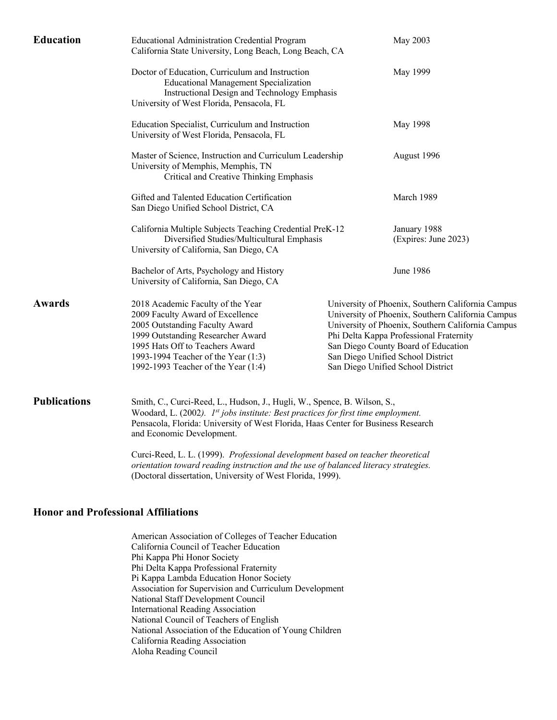| <b>Education</b>    | <b>Educational Administration Credential Program</b><br>California State University, Long Beach, Long Beach, CA<br>Doctor of Education, Curriculum and Instruction<br><b>Educational Management Specialization</b><br>Instructional Design and Technology Emphasis<br>University of West Florida, Pensacola, FL<br>Education Specialist, Curriculum and Instruction<br>University of West Florida, Pensacola, FL<br>Master of Science, Instruction and Curriculum Leadership<br>University of Memphis, Memphis, TN<br>Critical and Creative Thinking Emphasis<br>Gifted and Talented Education Certification<br>San Diego Unified School District, CA<br>California Multiple Subjects Teaching Credential PreK-12<br>Diversified Studies/Multicultural Emphasis<br>University of California, San Diego, CA |  | May 2003<br>May 1999<br>May 1998                                                                                                                                                                                                                                                                                        |  |
|---------------------|------------------------------------------------------------------------------------------------------------------------------------------------------------------------------------------------------------------------------------------------------------------------------------------------------------------------------------------------------------------------------------------------------------------------------------------------------------------------------------------------------------------------------------------------------------------------------------------------------------------------------------------------------------------------------------------------------------------------------------------------------------------------------------------------------------|--|-------------------------------------------------------------------------------------------------------------------------------------------------------------------------------------------------------------------------------------------------------------------------------------------------------------------------|--|
|                     |                                                                                                                                                                                                                                                                                                                                                                                                                                                                                                                                                                                                                                                                                                                                                                                                            |  |                                                                                                                                                                                                                                                                                                                         |  |
|                     |                                                                                                                                                                                                                                                                                                                                                                                                                                                                                                                                                                                                                                                                                                                                                                                                            |  |                                                                                                                                                                                                                                                                                                                         |  |
|                     |                                                                                                                                                                                                                                                                                                                                                                                                                                                                                                                                                                                                                                                                                                                                                                                                            |  | August 1996<br>March 1989<br>January 1988<br>(Expires: June 2023)                                                                                                                                                                                                                                                       |  |
|                     |                                                                                                                                                                                                                                                                                                                                                                                                                                                                                                                                                                                                                                                                                                                                                                                                            |  |                                                                                                                                                                                                                                                                                                                         |  |
|                     |                                                                                                                                                                                                                                                                                                                                                                                                                                                                                                                                                                                                                                                                                                                                                                                                            |  |                                                                                                                                                                                                                                                                                                                         |  |
|                     | Bachelor of Arts, Psychology and History<br>University of California, San Diego, CA                                                                                                                                                                                                                                                                                                                                                                                                                                                                                                                                                                                                                                                                                                                        |  | <b>June 1986</b>                                                                                                                                                                                                                                                                                                        |  |
| <b>Awards</b>       | 2018 Academic Faculty of the Year<br>2009 Faculty Award of Excellence<br>2005 Outstanding Faculty Award<br>1999 Outstanding Researcher Award<br>1995 Hats Off to Teachers Award<br>1993-1994 Teacher of the Year (1:3)<br>1992-1993 Teacher of the Year (1:4)                                                                                                                                                                                                                                                                                                                                                                                                                                                                                                                                              |  | University of Phoenix, Southern California Campus<br>University of Phoenix, Southern California Campus<br>University of Phoenix, Southern California Campus<br>Phi Delta Kappa Professional Fraternity<br>San Diego County Board of Education<br>San Diego Unified School District<br>San Diego Unified School District |  |
| <b>Publications</b> | Smith, C., Curci-Reed, L., Hudson, J., Hugli, W., Spence, B. Wilson, S.,<br>Woodard, L. (2002). 1st jobs institute: Best practices for first time employment.<br>Pensacola, Florida: University of West Florida, Haas Center for Business Research<br>and Economic Development.                                                                                                                                                                                                                                                                                                                                                                                                                                                                                                                            |  |                                                                                                                                                                                                                                                                                                                         |  |
|                     | Curci-Reed, L. L. (1999). Professional development based on teacher theoretical                                                                                                                                                                                                                                                                                                                                                                                                                                                                                                                                                                                                                                                                                                                            |  |                                                                                                                                                                                                                                                                                                                         |  |

*orientation toward reading instruction and the use of balanced literacy strategies.* (Doctoral dissertation, University of West Florida, 1999).

# **Honor and Professional Affiliations**

American Association of Colleges of Teacher Education California Council of Teacher Education Phi Kappa Phi Honor Society Phi Delta Kappa Professional Fraternity Pi Kappa Lambda Education Honor Society Association for Supervision and Curriculum Development National Staff Development Council International Reading Association National Council of Teachers of English National Association of the Education of Young Children California Reading Association Aloha Reading Council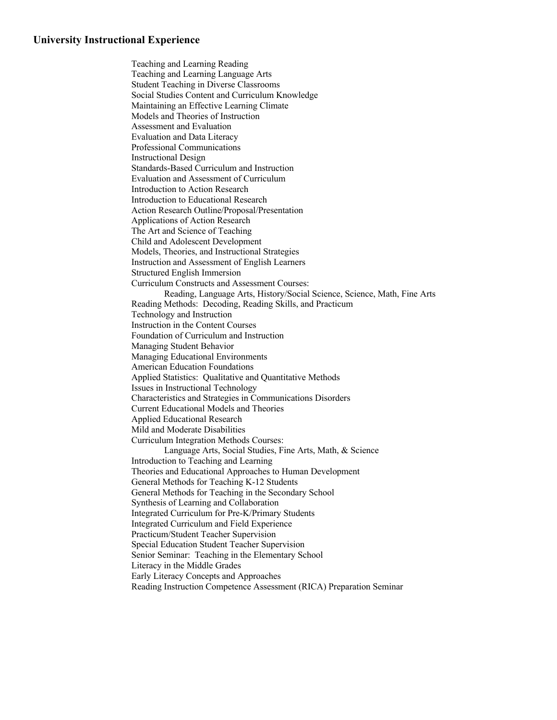# **University Instructional Experience**

Teaching and Learning Reading Teaching and Learning Language Arts Student Teaching in Diverse Classrooms Social Studies Content and Curriculum Knowledge Maintaining an Effective Learning Climate Models and Theories of Instruction Assessment and Evaluation Evaluation and Data Literacy Professional Communications Instructional Design Standards-Based Curriculum and Instruction Evaluation and Assessment of Curriculum Introduction to Action Research Introduction to Educational Research Action Research Outline/Proposal/Presentation Applications of Action Research The Art and Science of Teaching Child and Adolescent Development Models, Theories, and Instructional Strategies Instruction and Assessment of English Learners Structured English Immersion Curriculum Constructs and Assessment Courses: Reading, Language Arts, History/Social Science, Science, Math, Fine Arts Reading Methods: Decoding, Reading Skills, and Practicum Technology and Instruction Instruction in the Content Courses Foundation of Curriculum and Instruction Managing Student Behavior Managing Educational Environments American Education Foundations Applied Statistics: Qualitative and Quantitative Methods Issues in Instructional Technology Characteristics and Strategies in Communications Disorders Current Educational Models and Theories Applied Educational Research Mild and Moderate Disabilities Curriculum Integration Methods Courses: Language Arts, Social Studies, Fine Arts, Math, & Science Introduction to Teaching and Learning Theories and Educational Approaches to Human Development General Methods for Teaching K-12 Students General Methods for Teaching in the Secondary School Synthesis of Learning and Collaboration Integrated Curriculum for Pre-K/Primary Students Integrated Curriculum and Field Experience Practicum/Student Teacher Supervision Special Education Student Teacher Supervision Senior Seminar: Teaching in the Elementary School Literacy in the Middle Grades Early Literacy Concepts and Approaches Reading Instruction Competence Assessment (RICA) Preparation Seminar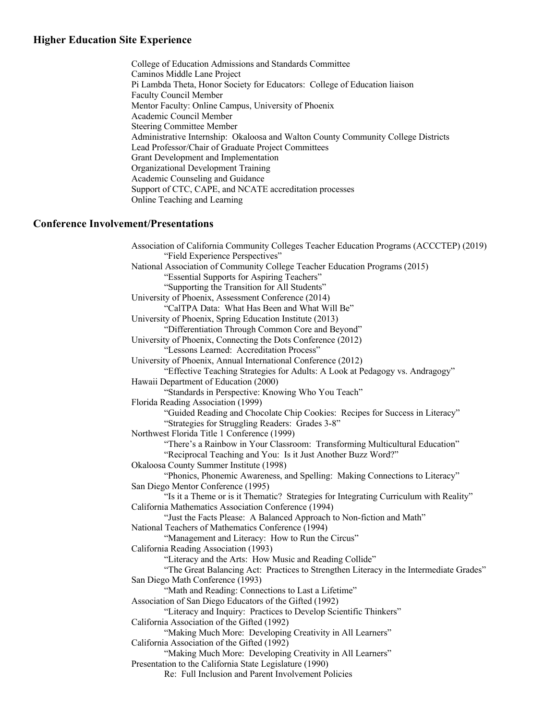# **Higher Education Site Experience**

College of Education Admissions and Standards Committee Caminos Middle Lane Project Pi Lambda Theta, Honor Society for Educators: College of Education liaison Faculty Council Member Mentor Faculty: Online Campus, University of Phoenix Academic Council Member Steering Committee Member Administrative Internship: Okaloosa and Walton County Community College Districts Lead Professor/Chair of Graduate Project Committees Grant Development and Implementation Organizational Development Training Academic Counseling and Guidance Support of CTC, CAPE, and NCATE accreditation processes Online Teaching and Learning

# **Conference Involvement/Presentations**

Association of California Community Colleges Teacher Education Programs (ACCCTEP) (2019) "Field Experience Perspectives" National Association of Community College Teacher Education Programs (2015) "Essential Supports for Aspiring Teachers" "Supporting the Transition for All Students" University of Phoenix, Assessment Conference (2014) "CalTPA Data: What Has Been and What Will Be" University of Phoenix, Spring Education Institute (2013) "Differentiation Through Common Core and Beyond" University of Phoenix, Connecting the Dots Conference (2012) "Lessons Learned: Accreditation Process" University of Phoenix, Annual International Conference (2012) "Effective Teaching Strategies for Adults: A Look at Pedagogy vs. Andragogy" Hawaii Department of Education (2000) "Standards in Perspective: Knowing Who You Teach" Florida Reading Association (1999) "Guided Reading and Chocolate Chip Cookies: Recipes for Success in Literacy" "Strategies for Struggling Readers: Grades 3-8" Northwest Florida Title 1 Conference (1999) "There's a Rainbow in Your Classroom: Transforming Multicultural Education" "Reciprocal Teaching and You: Is it Just Another Buzz Word?" Okaloosa County Summer Institute (1998) "Phonics, Phonemic Awareness, and Spelling: Making Connections to Literacy" San Diego Mentor Conference (1995) "Is it a Theme or is it Thematic? Strategies for Integrating Curriculum with Reality" California Mathematics Association Conference (1994) "Just the Facts Please: A Balanced Approach to Non-fiction and Math" National Teachers of Mathematics Conference (1994) "Management and Literacy: How to Run the Circus" California Reading Association (1993) "Literacy and the Arts: How Music and Reading Collide" "The Great Balancing Act: Practices to Strengthen Literacy in the Intermediate Grades" San Diego Math Conference (1993) "Math and Reading: Connections to Last a Lifetime" Association of San Diego Educators of the Gifted (1992) "Literacy and Inquiry: Practices to Develop Scientific Thinkers" California Association of the Gifted (1992) "Making Much More: Developing Creativity in All Learners" California Association of the Gifted (1992) "Making Much More: Developing Creativity in All Learners" Presentation to the California State Legislature (1990) Re: Full Inclusion and Parent Involvement Policies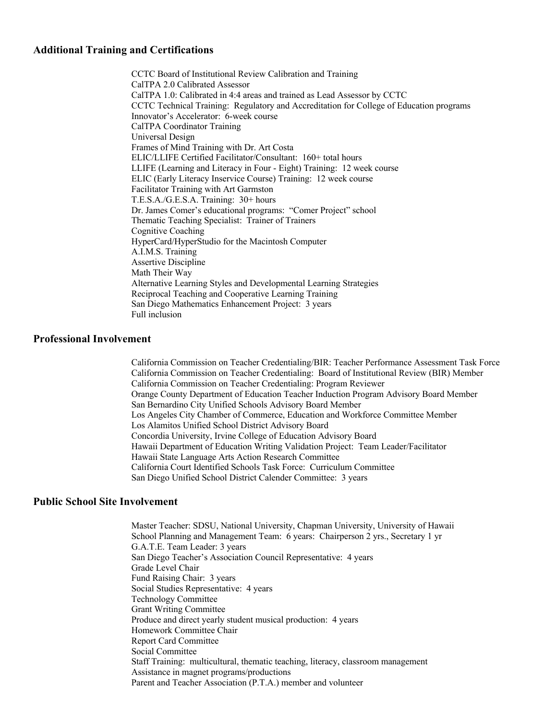# **Additional Training and Certifications**

CCTC Board of Institutional Review Calibration and Training CalTPA 2.0 Calibrated Assessor CalTPA 1.0: Calibrated in 4:4 areas and trained as Lead Assessor by CCTC CCTC Technical Training: Regulatory and Accreditation for College of Education programs Innovator's Accelerator: 6-week course CalTPA Coordinator Training Universal Design Frames of Mind Training with Dr. Art Costa ELIC/LLIFE Certified Facilitator/Consultant: 160+ total hours LLIFE (Learning and Literacy in Four - Eight) Training: 12 week course ELIC (Early Literacy Inservice Course) Training: 12 week course Facilitator Training with Art Garmston T.E.S.A./G.E.S.A. Training: 30+ hours Dr. James Comer's educational programs: "Comer Project" school Thematic Teaching Specialist: Trainer of Trainers Cognitive Coaching HyperCard/HyperStudio for the Macintosh Computer A.I.M.S. Training Assertive Discipline Math Their Way Alternative Learning Styles and Developmental Learning Strategies Reciprocal Teaching and Cooperative Learning Training San Diego Mathematics Enhancement Project: 3 years Full inclusion

#### **Professional Involvement**

California Commission on Teacher Credentialing/BIR: Teacher Performance Assessment Task Force California Commission on Teacher Credentialing: Board of Institutional Review (BIR) Member California Commission on Teacher Credentialing: Program Reviewer Orange County Department of Education Teacher Induction Program Advisory Board Member San Bernardino City Unified Schools Advisory Board Member Los Angeles City Chamber of Commerce, Education and Workforce Committee Member Los Alamitos Unified School District Advisory Board Concordia University, Irvine College of Education Advisory Board Hawaii Department of Education Writing Validation Project: Team Leader/Facilitator Hawaii State Language Arts Action Research Committee California Court Identified Schools Task Force: Curriculum Committee San Diego Unified School District Calender Committee: 3 years

### **Public School Site Involvement**

Master Teacher: SDSU, National University, Chapman University, University of Hawaii School Planning and Management Team: 6 years: Chairperson 2 yrs., Secretary 1 yr G.A.T.E. Team Leader: 3 years San Diego Teacher's Association Council Representative: 4 years Grade Level Chair Fund Raising Chair: 3 years Social Studies Representative: 4 years Technology Committee Grant Writing Committee Produce and direct yearly student musical production: 4 years Homework Committee Chair Report Card Committee Social Committee Staff Training: multicultural, thematic teaching, literacy, classroom management Assistance in magnet programs/productions Parent and Teacher Association (P.T.A.) member and volunteer